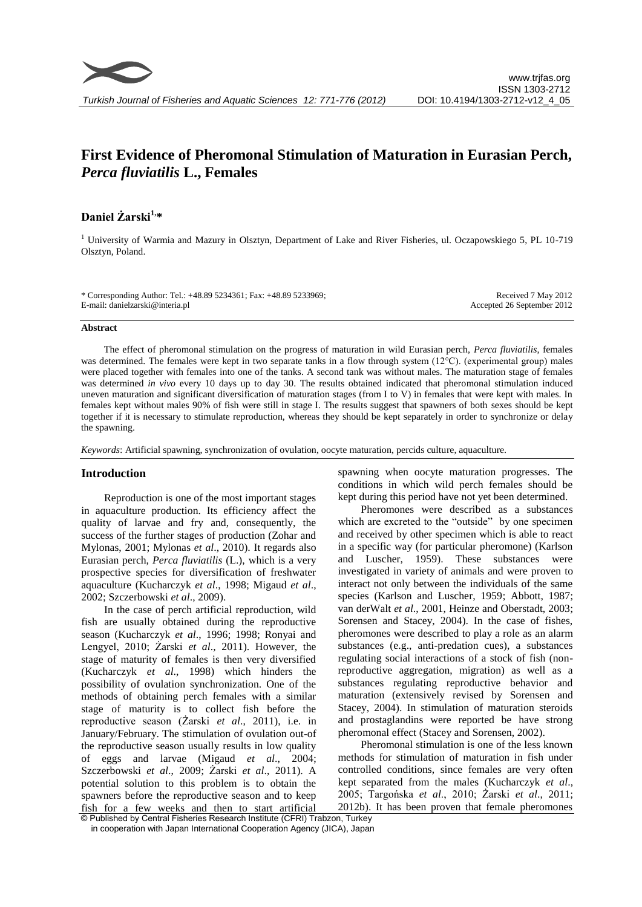# **First Evidence of Pheromonal Stimulation of Maturation in Eurasian Perch,**  *Perca fluviatilis* **L., Females**

## **Daniel Żarski1,\***

<sup>1</sup> University of Warmia and Mazury in Olsztyn, Department of Lake and River Fisheries, ul. Oczapowskiego 5, PL 10-719 Olsztyn, Poland.

\* Corresponding Author: Tel.: +48.89 5234361; Fax: +48.89 5233969; E-mail: danielzarski@interia.pl

Received 7 May 2012 Accepted 26 September 2012

#### **Abstract**

The effect of pheromonal stimulation on the progress of maturation in wild Eurasian perch, *Perca fluviatilis*, females was determined. The females were kept in two separate tanks in a flow through system (12°C). (experimental group) males were placed together with females into one of the tanks. A second tank was without males. The maturation stage of females was determined *in vivo* every 10 days up to day 30. The results obtained indicated that pheromonal stimulation induced uneven maturation and significant diversification of maturation stages (from I to V) in females that were kept with males. In females kept without males 90% of fish were still in stage I. The results suggest that spawners of both sexes should be kept together if it is necessary to stimulate reproduction, whereas they should be kept separately in order to synchronize or delay the spawning.

*Keywords*: Artificial spawning, synchronization of ovulation, oocyte maturation, percids culture, aquaculture.

### **Introduction**

Reproduction is one of the most important stages in aquaculture production. Its efficiency affect the quality of larvae and fry and, consequently, the success of the further stages of production (Zohar and Mylonas, 2001; Mylonas *et al*., 2010). It regards also Eurasian perch, *Perca fluviatilis* (L.), which is a very prospective species for diversification of freshwater aquaculture (Kucharczyk *et al*., 1998; Migaud *et al*., 2002; Szczerbowski *et al*., 2009).

In the case of perch artificial reproduction, wild fish are usually obtained during the reproductive season (Kucharczyk *et al*., 1996; 1998; Ronyai and Lengyel, 2010; Żarski *et al*., 2011). However, the stage of maturity of females is then very diversified (Kucharczyk *et al*., 1998) which hinders the possibility of ovulation synchronization. One of the methods of obtaining perch females with a similar stage of maturity is to collect fish before the reproductive season (Żarski *et al*., 2011), i.e. in January/February. The stimulation of ovulation out-of the reproductive season usually results in low quality of eggs and larvae (Migaud *et al*., 2004; Szczerbowski *et al*., 2009; Żarski *et al*., 2011). A potential solution to this problem is to obtain the spawners before the reproductive season and to keep fish for a few weeks and then to start artificial spawning when oocyte maturation progresses. The conditions in which wild perch females should be kept during this period have not yet been determined.

Pheromones were described as a substances which are excreted to the "outside" by one specimen and received by other specimen which is able to react in a specific way (for particular pheromone) (Karlson and Luscher, 1959). These substances were investigated in variety of animals and were proven to interact not only between the individuals of the same species (Karlson and Luscher, 1959; Abbott, 1987; van derWalt *et al*., 2001, Heinze and Oberstadt, 2003; Sorensen and Stacey, 2004). In the case of fishes, pheromones were described to play a role as an alarm substances (e.g., anti-predation cues), a substances regulating social interactions of a stock of fish (nonreproductive aggregation, migration) as well as a substances regulating reproductive behavior and maturation (extensively revised by Sorensen and Stacey, 2004). In stimulation of maturation steroids and prostaglandins were reported be have strong pheromonal effect (Stacey and Sorensen, 2002).

Pheromonal stimulation is one of the less known methods for stimulation of maturation in fish under controlled conditions, since females are very often kept separated from the males (Kucharczyk *et al*., 2005; Targońska *et al*., 2010; Żarski *et al*., 2011; 2012b). It has been proven that female pheromones

<sup>©</sup> Published by Central Fisheries Research Institute (CFRI) Trabzon, Turkey in cooperation with Japan International Cooperation Agency (JICA), Japan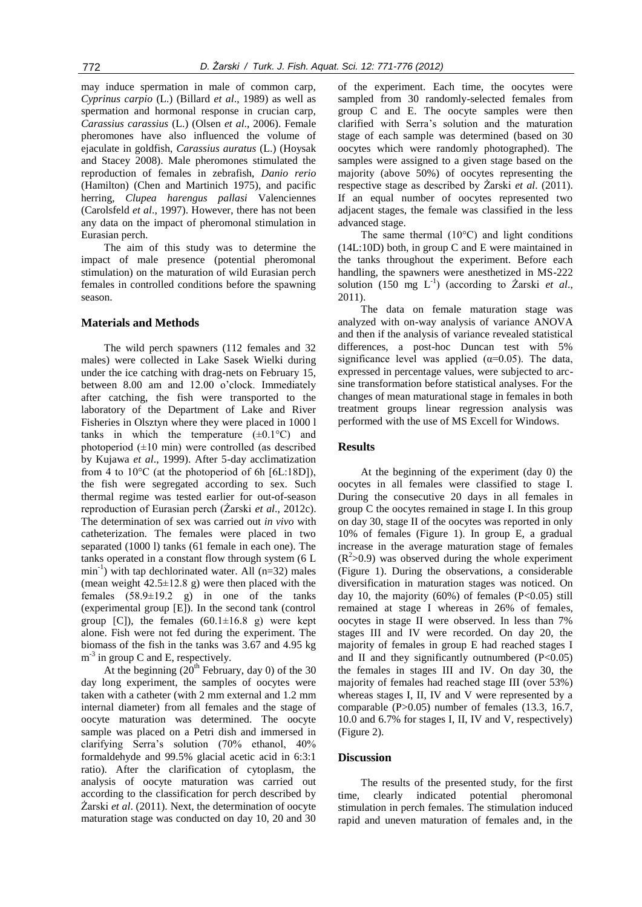may induce spermation in male of common carp, *Cyprinus carpio* (L.) (Billard *et al*., 1989) as well as spermation and hormonal response in crucian carp, *Carassius carassius* (L.) (Olsen *et al*., 2006). Female pheromones have also influenced the volume of ejaculate in goldfish, *Carassius auratus* (L.) (Hoysak and Stacey 2008). Male pheromones stimulated the reproduction of females in zebrafish, *Danio rerio*  (Hamilton) (Chen and Martinich 1975), and pacific herring, *Clupea harengus pallasi* Valenciennes (Carolsfeld *et al*., 1997). However, there has not been any data on the impact of pheromonal stimulation in Eurasian perch.

The aim of this study was to determine the impact of male presence (potential pheromonal stimulation) on the maturation of wild Eurasian perch females in controlled conditions before the spawning season.

## **Materials and Methods**

The wild perch spawners (112 females and 32 males) were collected in Lake Sasek Wielki during under the ice catching with drag-nets on February 15, between 8.00 am and 12.00 o"clock. Immediately after catching, the fish were transported to the laboratory of the Department of Lake and River Fisheries in Olsztyn where they were placed in 1000 l tanks in which the temperature  $(\pm 0.1^{\circ}C)$  and photoperiod  $(\pm 10 \text{ min})$  were controlled (as described by Kujawa *et al*., 1999). After 5-day acclimatization from 4 to  $10^{\circ}$ C (at the photoperiod of 6h [6L:18D]), the fish were segregated according to sex. Such thermal regime was tested earlier for out-of-season reproduction of Eurasian perch (Żarski *et al*., 2012c). The determination of sex was carried out *in vivo* with catheterization. The females were placed in two separated (1000 l) tanks (61 female in each one). The tanks operated in a constant flow through system (6 L  $min^{-1}$ ) with tap dechlorinated water. All  $(n=32)$  males (mean weight  $42.5 \pm 12.8$  g) were then placed with the females  $(58.9 \pm 19.2)$  g) in one of the tanks (experimental group [E]). In the second tank (control group  $[C]$ ), the females  $(60.1\pm16.8)$  g) were kept alone. Fish were not fed during the experiment. The biomass of the fish in the tanks was 3.67 and 4.95 kg  $m^{-3}$  in group C and E, respectively.

At the beginning  $(20<sup>th</sup>$  February, day 0) of the 30 day long experiment, the samples of oocytes were taken with a catheter (with 2 mm external and 1.2 mm internal diameter) from all females and the stage of oocyte maturation was determined. The oocyte sample was placed on a Petri dish and immersed in clarifying Serra"s solution (70% ethanol, 40% formaldehyde and 99.5% glacial acetic acid in 6:3:1 ratio). After the clarification of cytoplasm, the analysis of oocyte maturation was carried out according to the classification for perch described by Żarski *et al*. (2011). Next, the determination of oocyte maturation stage was conducted on day 10, 20 and 30

of the experiment. Each time, the oocytes were sampled from 30 randomly-selected females from group C and E. The oocyte samples were then clarified with Serra"s solution and the maturation stage of each sample was determined (based on 30 oocytes which were randomly photographed). The samples were assigned to a given stage based on the majority (above 50%) of oocytes representing the respective stage as described by Żarski *et al*. (2011). If an equal number of oocytes represented two adjacent stages, the female was classified in the less advanced stage.

The same thermal  $(10^{\circ}C)$  and light conditions (14L:10D) both, in group C and E were maintained in the tanks throughout the experiment. Before each handling, the spawners were anesthetized in MS-222 solution  $(150 \text{ mg } L^{-1})$  (according to  $\overline{Z}$ arski *et al.*, 2011).

The data on female maturation stage was analyzed with on-way analysis of variance ANOVA and then if the analysis of variance revealed statistical differences, a post-hoc Duncan test with 5% significance level was applied  $(\alpha=0.05)$ . The data, expressed in percentage values, were subjected to arcsine transformation before statistical analyses. For the changes of mean maturational stage in females in both treatment groups linear regression analysis was performed with the use of MS Excell for Windows.

### **Results**

At the beginning of the experiment (day 0) the oocytes in all females were classified to stage I. During the consecutive 20 days in all females in group C the oocytes remained in stage I. In this group on day 30, stage II of the oocytes was reported in only 10% of females (Figure 1). In group E, a gradual increase in the average maturation stage of females  $(R<sup>2</sup>>0.9)$  was observed during the whole experiment (Figure 1). During the observations, a considerable diversification in maturation stages was noticed. On day 10, the majority  $(60\%)$  of females  $(P<0.05)$  still remained at stage I whereas in 26% of females, oocytes in stage II were observed. In less than 7% stages III and IV were recorded. On day 20, the majority of females in group E had reached stages I and II and they significantly outnumbered  $(P<0.05)$ the females in stages III and IV. On day 30, the majority of females had reached stage III (over 53%) whereas stages I, II, IV and V were represented by a comparable (P>0.05) number of females (13.3, 16.7, 10.0 and 6.7% for stages I, II, IV and V, respectively) (Figure 2).

### **Discussion**

The results of the presented study, for the first time, clearly indicated potential pheromonal stimulation in perch females. The stimulation induced rapid and uneven maturation of females and, in the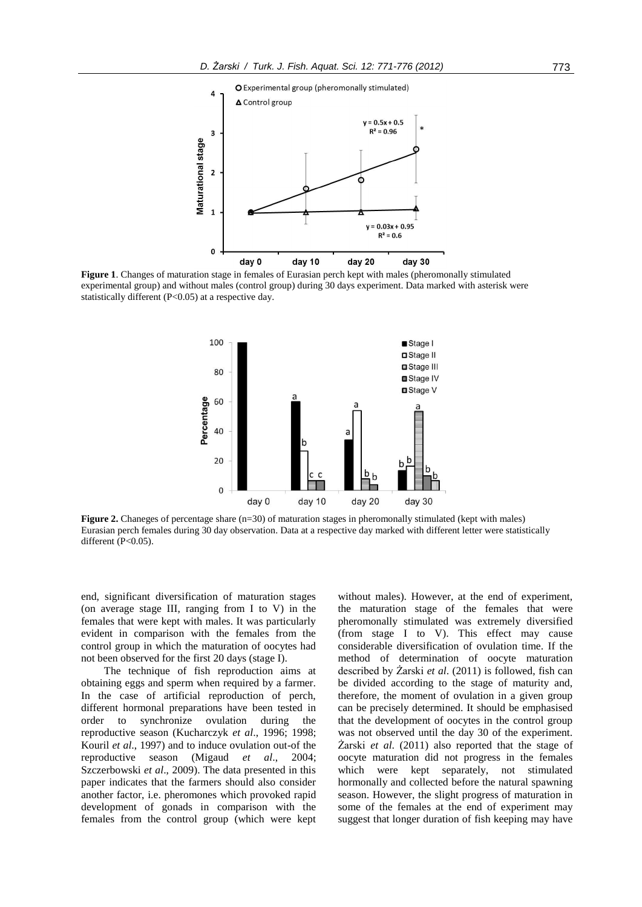

**Figure 1**. Changes of maturation stage in females of Eurasian perch kept with males (pheromonally stimulated experimental group) and without males (control group) during 30 days experiment. Data marked with asterisk were statistically different (P<0.05) at a respective day.



**Figure 2.** Chaneges of percentage share (n=30) of maturation stages in pheromonally stimulated (kept with males) Eurasian perch females during 30 day observation. Data at a respective day marked with different letter were statistically different (P<0.05).

end, significant diversification of maturation stages (on average stage III, ranging from I to V) in the females that were kept with males. It was particularly evident in comparison with the females from the control group in which the maturation of oocytes had not been observed for the first 20 days (stage I).

The technique of fish reproduction aims at obtaining eggs and sperm when required by a farmer. In the case of artificial reproduction of perch, different hormonal preparations have been tested in order to synchronize ovulation during the reproductive season (Kucharczyk *et al*., 1996; 1998; Kouril *et al*., 1997) and to induce ovulation out-of the reproductive season (Migaud *et al*., 2004; Szczerbowski *et al*., 2009). The data presented in this paper indicates that the farmers should also consider another factor, i.e. pheromones which provoked rapid development of gonads in comparison with the females from the control group (which were kept

without males). However, at the end of experiment, the maturation stage of the females that were pheromonally stimulated was extremely diversified (from stage I to V). This effect may cause considerable diversification of ovulation time. If the method of determination of oocyte maturation described by Żarski *et al*. (2011) is followed, fish can be divided according to the stage of maturity and, therefore, the moment of ovulation in a given group can be precisely determined. It should be emphasised that the development of oocytes in the control group was not observed until the day 30 of the experiment. Żarski *et al*. (2011) also reported that the stage of oocyte maturation did not progress in the females which were kept separately, not stimulated hormonally and collected before the natural spawning season. However, the slight progress of maturation in some of the females at the end of experiment may suggest that longer duration of fish keeping may have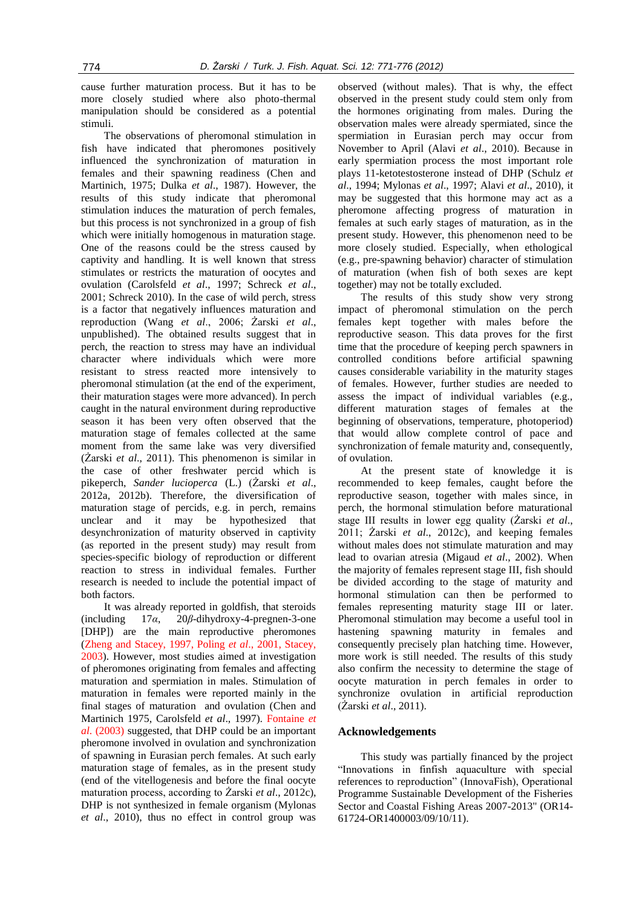cause further maturation process. But it has to be more closely studied where also photo-thermal manipulation should be considered as a potential stimuli.

The observations of pheromonal stimulation in fish have indicated that pheromones positively influenced the synchronization of maturation in females and their spawning readiness (Chen and Martinich, 1975; Dulka *et al*., 1987). However, the results of this study indicate that pheromonal stimulation induces the maturation of perch females, but this process is not synchronized in a group of fish which were initially homogenous in maturation stage. One of the reasons could be the stress caused by captivity and handling. It is well known that stress stimulates or restricts the maturation of oocytes and ovulation (Carolsfeld *et al*., 1997; Schreck *et al*., 2001; Schreck 2010). In the case of wild perch, stress is a factor that negatively influences maturation and reproduction (Wang *et al*., 2006; Żarski *et al*., unpublished). The obtained results suggest that in perch, the reaction to stress may have an individual character where individuals which were more resistant to stress reacted more intensively to pheromonal stimulation (at the end of the experiment, their maturation stages were more advanced). In perch caught in the natural environment during reproductive season it has been very often observed that the maturation stage of females collected at the same moment from the same lake was very diversified (Żarski *et al*., 2011). This phenomenon is similar in the case of other freshwater percid which is pikeperch, *Sander lucioperca* (L.) (Żarski *et al*., 2012a, 2012b). Therefore, the diversification of maturation stage of percids, e.g. in perch, remains unclear and it may be hypothesized that desynchronization of maturity observed in captivity (as reported in the present study) may result from species-specific biology of reproduction or different reaction to stress in individual females. Further research is needed to include the potential impact of both factors.

It was already reported in goldfish, that steroids (including 17*α*, 20*β*-dihydroxy-4-pregnen-3-one [DHP]) are the main reproductive pheromones (Zheng and Stacey, 1997, Poling *et al*., 2001, Stacey, 2003). However, most studies aimed at investigation of pheromones originating from females and affecting maturation and spermiation in males. Stimulation of maturation in females were reported mainly in the final stages of maturation and ovulation (Chen and Martinich 1975, Carolsfeld *et al*., 1997). Fontaine *et al*. (2003) suggested, that DHP could be an important pheromone involved in ovulation and synchronization of spawning in Eurasian perch females. At such early maturation stage of females, as in the present study (end of the vitellogenesis and before the final oocyte maturation process, according to Żarski *et al*., 2012c), DHP is not synthesized in female organism (Mylonas *et al*., 2010), thus no effect in control group was

observed (without males). That is why, the effect observed in the present study could stem only from the hormones originating from males. During the observation males were already spermiated, since the spermiation in Eurasian perch may occur from November to April (Alavi *et al*., 2010). Because in early spermiation process the most important role plays 11-ketotestosterone instead of DHP (Schulz *et al*., 1994; Mylonas *et al*., 1997; Alavi *et al*., 2010), it may be suggested that this hormone may act as a pheromone affecting progress of maturation in females at such early stages of maturation, as in the present study. However, this phenomenon need to be more closely studied. Especially, when ethological (e.g., pre-spawning behavior) character of stimulation of maturation (when fish of both sexes are kept together) may not be totally excluded.

The results of this study show very strong impact of pheromonal stimulation on the perch females kept together with males before the reproductive season. This data proves for the first time that the procedure of keeping perch spawners in controlled conditions before artificial spawning causes considerable variability in the maturity stages of females. However, further studies are needed to assess the impact of individual variables (e.g., different maturation stages of females at the beginning of observations, temperature, photoperiod) that would allow complete control of pace and synchronization of female maturity and, consequently, of ovulation.

At the present state of knowledge it is recommended to keep females, caught before the reproductive season, together with males since, in perch, the hormonal stimulation before maturational stage III results in lower egg quality (Żarski *et al*., 2011; Żarski *et al*., 2012c), and keeping females without males does not stimulate maturation and may lead to ovarian atresia (Migaud *et al*., 2002). When the majority of females represent stage III, fish should be divided according to the stage of maturity and hormonal stimulation can then be performed to females representing maturity stage III or later. Pheromonal stimulation may become a useful tool in hastening spawning maturity in females and consequently precisely plan hatching time. However, more work is still needed. The results of this study also confirm the necessity to determine the stage of oocyte maturation in perch females in order to synchronize ovulation in artificial reproduction (Żarski *et al*., 2011).

### **Acknowledgements**

This study was partially financed by the project "Innovations in finfish aquaculture with special references to reproduction" (InnovaFish), Operational Programme Sustainable Development of the Fisheries Sector and Coastal Fishing Areas 2007-2013" (OR14- 61724-OR1400003/09/10/11).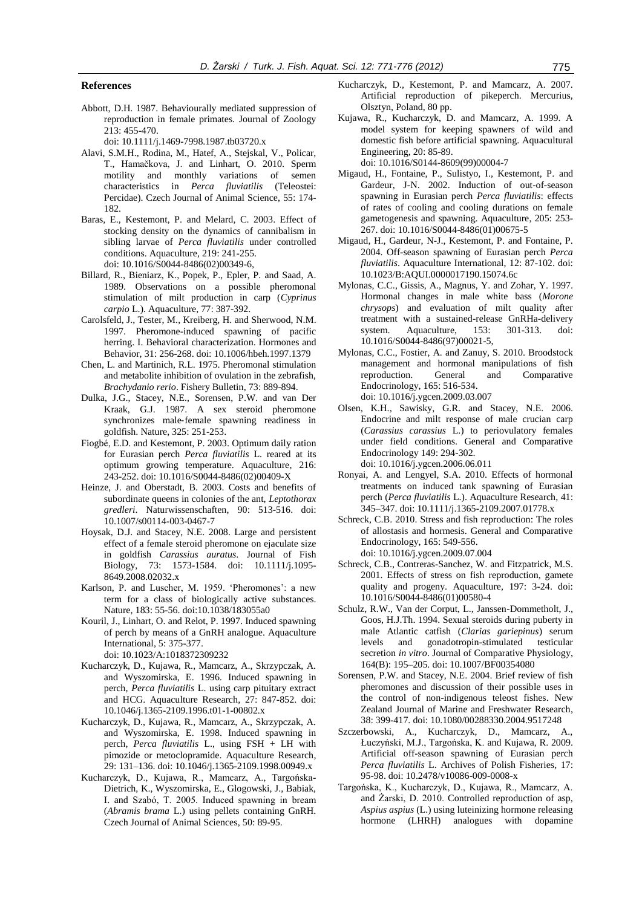#### **References**

Abbott, D.H. 1987. Behaviourally mediated suppression of reproduction in female primates. Journal of Zoology 213: 455-470.

doi: 10.1111/j.1469-7998.1987.tb03720.x

- Alavi, S.M.H., Rodina, M., Hatef, A., Stejskal, V., Policar, T., Hamačkova, J. and Linhart, O. 2010. Sperm motility and monthly variations of semen characteristics in *Perca fluviatilis* (Teleostei: Percidae). Czech Journal of Animal Science, 55: 174- 182.
- Baras, E., Kestemont, P. and Melard, C. 2003. Effect of stocking density on the dynamics of cannibalism in sibling larvae of *Perca fluviatilis* under controlled conditions. Aquaculture, 219: 241-255. doi: 10.1016/S0044-8486(02)00349-6,
- Billard, R., Bieniarz, K., Popek, P., Epler, P. and Saad, A. 1989. Observations on a possible pheromonal stimulation of milt production in carp (*Cyprinus carpio* L.). Aquaculture, 77: 387-392.
- Carolsfeld, J., Tester, M., Kreiberg, H. and Sherwood, N.M. 1997. Pheromone-induced spawning of pacific herring. I. Behavioral characterization. Hormones and Behavior, 31: 256-268. doi: 10.1006/hbeh.1997.1379
- Chen, L. and Martinich, R.L. 1975. Pheromonal stimulation and metabolite inhibition of ovulation in the zebrafish, *Brachydanio rerio*. Fishery Bulletin, 73: 889-894.
- Dulka, J.G., Stacey, N.E., Sorensen, P.W. and van Der Kraak, G.J. 1987. A sex steroid pheromone synchronizes male‐female spawning readiness in goldfish. Nature, 325: 251-253.
- Fiogbé, E.D. and Kestemont, P. 2003. Optimum daily ration for Eurasian perch *Perca fluviatilis* L. reared at its optimum growing temperature. Aquaculture, 216: 243-252. doi: 10.1016/S0044-8486(02)00409-X
- Heinze, J. and Oberstadt, B. 2003. Costs and benefits of subordinate queens in colonies of the ant, *Leptothorax gredleri*. Naturwissenschaften, 90: 513-516. doi: 10.1007/s00114-003-0467-7
- Hoysak, D.J. and Stacey, N.E. 2008. Large and persistent effect of a female steroid pheromone on ejaculate size in goldfish *Carassius auratus*. Journal of Fish Biology, 73: 1573-1584. doi: 10.1111/j.1095- 8649.2008.02032.x
- Karlson, P. and Luscher, M. 1959. 'Pheromones': a new term for a class of biologically active substances. Nature, 183: 55-56. doi:10.1038/183055a0
- Kouril, J., Linhart, O. and Relot, P. 1997. Induced spawning of perch by means of a GnRH analogue. Aquaculture International, 5: 375-377. doi: 10.1023/A:1018372309232
	-
- Kucharczyk, D., Kujawa, R., Mamcarz, A., Skrzypczak, A. and Wyszomirska, E. 1996*.* Induced spawning in perch, *Perca fluviatilis* L. using carp pituitary extract and HCG. Aquaculture Research, 27: 847-852. doi: 10.1046/j.1365-2109.1996.t01-1-00802.x
- Kucharczyk, D., Kujawa, R., Mamcarz, A., Skrzypczak, A. and Wyszomirska, E. 1998. Induced spawning in perch, *Perca fluviatilis* L., using FSH + LH with pimozide or metoclopramide. Aquaculture Research, 29: 131–136. doi: 10.1046/j.1365-2109.1998.00949.x
- Kucharczyk, D., Kujawa, R., Mamcarz, A., Targońska-Dietrich, K., Wyszomirska, E., Glogowski, J., Babiak, I. and Szabó, T. 2005. Induced spawning in bream (*Abramis brama* L.) using pellets containing GnRH. Czech Journal of Animal Sciences, 50: 89-95.
- Kucharczyk, D., Kestemont, P. and Mamcarz, A. 2007. Artificial reproduction of pikeperch. Mercurius, Olsztyn, Poland, 80 pp.
- Kujawa, R., Kucharczyk, D. and Mamcarz, A. 1999. A model system for keeping spawners of wild and domestic fish before artificial spawning. Aquacultural Engineering, 20: 85-89. doi: 10.1016/S0144-8609(99)00004-7
- Migaud, H., Fontaine, P., Sulistyo, I., Kestemont, P. and Gardeur, J-N. 2002. Induction of out-of-season spawning in Eurasian perch *Perca fluviatilis*: effects of rates of cooling and cooling durations on female gametogenesis and spawning. Aquaculture, 205: 253- 267. doi: 10.1016/S0044-8486(01)00675-5
- Migaud, H., Gardeur, N-J., Kestemont, P. and Fontaine, P. 2004. Off-season spawning of Eurasian perch *Perca fluviatilis*. Aquaculture International, 12: 87-102. doi: 10.1023/B:AQUI.0000017190.15074.6c
- Mylonas, C.C., Gissis, A., Magnus, Y. and Zohar, Y. 1997. Hormonal changes in male white bass (*Morone chrysops*) and evaluation of milt quality after treatment with a sustained-release GnRHa-delivery system. Aquaculture, 153: 301-313. doi: 10.1016/S0044-8486(97)00021-5,
- Mylonas, C.C., Fostier, A. and Zanuy, S. 2010. Broodstock management and hormonal manipulations of fish reproduction. General and Comparative Endocrinology, 165: 516-534. doi: 10.1016/j.ygcen.2009.03.007
- Olsen, K.H., Sawisky, G.R. and Stacey, N.E. 2006. Endocrine and milt response of male crucian carp (*Carassius carassius* L.) to periovulatory females under field conditions. General and Comparative Endocrinology 149: 294-302. doi: 10.1016/j.ygcen.2006.06.011
- Ronyai, A. and Lengyel, S.A. 2010. Effects of hormonal treatments on induced tank spawning of Eurasian perch (*Perca fluviatilis* L.). Aquaculture Research, 41: 345–347. doi: 10.1111/j.1365-2109.2007.01778.x
- Schreck, C.B. 2010. Stress and fish reproduction: The roles of allostasis and hormesis. General and Comparative Endocrinology, 165: 549-556. doi: 10.1016/j.ygcen.2009.07.004
- Schreck, C.B., Contreras-Sanchez, W. and Fitzpatrick, M.S. 2001. Effects of stress on fish reproduction, gamete quality and progeny. Aquaculture, 197: 3-24. doi: 10.1016/S0044-8486(01)00580-4
- Schulz, R.W., Van der Corput, L., Janssen-Dommetholt, J., Goos, H.J.Th. 1994. Sexual steroids during puberty in male Atlantic catfish (*Clarias gariepinus*) serum levels and gonadotropin-stimulated testicular secretion *in vitro*. Journal of Comparative Physiology, 164(B): 195–205. doi: 10.1007/BF00354080
- Sorensen, P.W. and Stacey, N.E. 2004. Brief review of fish pheromones and discussion of their possible uses in the control of non-indigenous teleost fishes. New Zealand Journal of Marine and Freshwater Research, 38: 399-417. doi: 10.1080/00288330.2004.9517248
- Szczerbowski, A., Kucharczyk, D., Mamcarz, A., Łuczyński, M.J., Targońska, K. and Kujawa, R. 2009. Artificial off-season spawning of Eurasian perch *Perca fluviatilis* L. Archives of Polish Fisheries, 17: 95-98. doi: 10.2478/v10086-009-0008-x
- Targońska, K., Kucharczyk, D., Kujawa, R., Mamcarz, A. and Żarski, D. 2010. Controlled reproduction of asp, *Aspius aspius* (L.) using luteinizing hormone releasing hormone (LHRH) analogues with dopamine